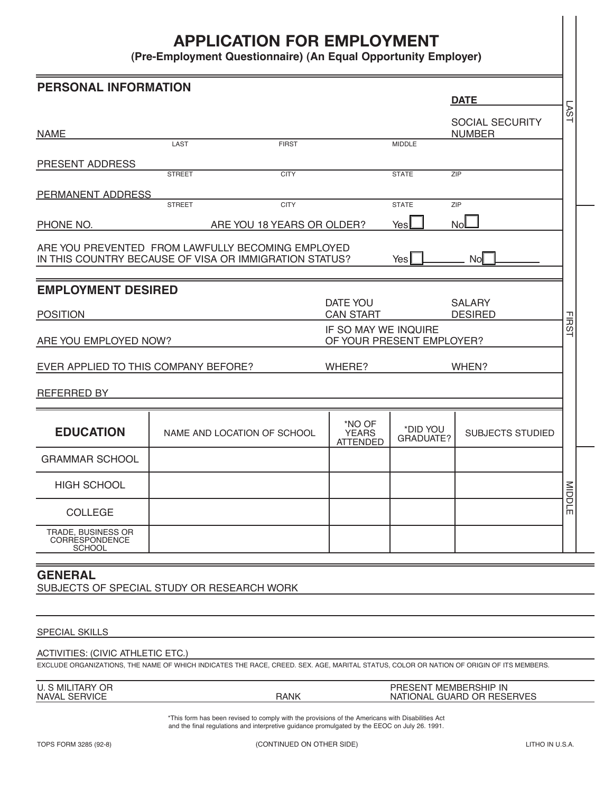# **APPLICATION FOR EMPLOYMENT**

**(Pre-Employment Questionnaire) (An Equal Opportunity Employer)**

| <b>PERSONAL INFORMATION</b>                                                                                                                                                         |                                                                                                  |                            |                                           |                           | <b>DATE</b>                |              |  |
|-------------------------------------------------------------------------------------------------------------------------------------------------------------------------------------|--------------------------------------------------------------------------------------------------|----------------------------|-------------------------------------------|---------------------------|----------------------------|--------------|--|
|                                                                                                                                                                                     |                                                                                                  |                            |                                           |                           | <b>SOCIAL SECURITY</b>     | ⋝<br>Ć٥<br>⊣ |  |
| <b>NAME</b>                                                                                                                                                                         |                                                                                                  |                            |                                           |                           | <b>NUMBER</b>              |              |  |
|                                                                                                                                                                                     | LAST                                                                                             | <b>FIRST</b>               |                                           | <b>MIDDLE</b>             |                            |              |  |
| PRESENT ADDRESS                                                                                                                                                                     | <b>STREET</b>                                                                                    | <b>CITY</b>                |                                           | <b>STATE</b>              | ZIP                        |              |  |
|                                                                                                                                                                                     |                                                                                                  |                            |                                           |                           |                            |              |  |
| PERMANENT ADDRESS                                                                                                                                                                   | <b>STREET</b>                                                                                    | <b>CITY</b>                |                                           | <b>STATE</b>              | <b>ZIP</b>                 |              |  |
| PHONE NO.                                                                                                                                                                           |                                                                                                  | ARE YOU 18 YEARS OR OLDER? |                                           | Yes                       | <b>No</b>                  |              |  |
| ARE YOU PREVENTED FROM LAWFULLY BECOMING EMPLOYED<br>IN THIS COUNTRY BECAUSE OF VISA OR IMMIGRATION STATUS?                                                                         |                                                                                                  |                            |                                           | Yes                       | <b>No</b>                  |              |  |
| <b>EMPLOYMENT DESIRED</b>                                                                                                                                                           |                                                                                                  |                            | DATE YOU                                  |                           | <b>SALARY</b>              |              |  |
| <b>POSITION</b>                                                                                                                                                                     |                                                                                                  |                            | <b>CAN START</b>                          |                           | <b>DESIRED</b>             |              |  |
| ARE YOU EMPLOYED NOW?                                                                                                                                                               |                                                                                                  |                            | IF SO MAY WE INQUIRE                      | OF YOUR PRESENT EMPLOYER? |                            | <b>FIRST</b> |  |
| EVER APPLIED TO THIS COMPANY BEFORE?                                                                                                                                                |                                                                                                  |                            | WHERE?                                    |                           | WHEN?                      |              |  |
| REFERRED BY                                                                                                                                                                         |                                                                                                  |                            |                                           |                           |                            |              |  |
| <b>EDUCATION</b>                                                                                                                                                                    | NAME AND LOCATION OF SCHOOL                                                                      |                            | *NO OF<br><b>YEARS</b><br><b>ATTENDED</b> | *DID YOU<br>GRADUATE?     | <b>SUBJECTS STUDIED</b>    |              |  |
| <b>GRAMMAR SCHOOL</b>                                                                                                                                                               |                                                                                                  |                            |                                           |                           |                            |              |  |
| <b>HIGH SCHOOL</b>                                                                                                                                                                  |                                                                                                  |                            |                                           |                           |                            | MIDDLE       |  |
| <b>COLLEGE</b>                                                                                                                                                                      |                                                                                                  |                            |                                           |                           |                            |              |  |
| TRADE, BUSINESS OR<br>CORRESPONDENCE<br><b>SCHOOL</b>                                                                                                                               |                                                                                                  |                            |                                           |                           |                            |              |  |
| <b>GENERAL</b><br>SUBJECTS OF SPECIAL STUDY OR RESEARCH WORK                                                                                                                        |                                                                                                  |                            |                                           |                           |                            |              |  |
| <b>SPECIAL SKILLS</b>                                                                                                                                                               |                                                                                                  |                            |                                           |                           |                            |              |  |
| <b>ACTIVITIES: (CIVIC ATHLETIC ETC.)</b><br>EXCLUDE ORGANIZATIONS, THE NAME OF WHICH INDICATES THE RACE, CREED. SEX. AGE, MARITAL STATUS, COLOR OR NATION OF ORIGIN OF ITS MEMBERS. |                                                                                                  |                            |                                           |                           |                            |              |  |
| <b>U. S MILITARY OR</b>                                                                                                                                                             |                                                                                                  |                            |                                           | PRESENT MEMBERSHIP IN     |                            |              |  |
| <b>NAVAL SERVICE</b>                                                                                                                                                                | *This form has been revised to comply with the provisions of the Americans with Disabilities Act | <b>RANK</b>                |                                           |                           | NATIONAL GUARD OR RESERVES |              |  |
|                                                                                                                                                                                     | and the final regulations and interpretive guidance promulgated by the EEOC on July 26. 1991.    |                            |                                           |                           |                            |              |  |
| TOPS FORM 3285 (92-8)                                                                                                                                                               | (CONTINUED ON OTHER SIDE)                                                                        |                            |                                           | LITHO IN U.S.A.           |                            |              |  |

## SPECIAL SKILLS

## ACTlVITIES: (CIVIC ATHLETIC ETC.)